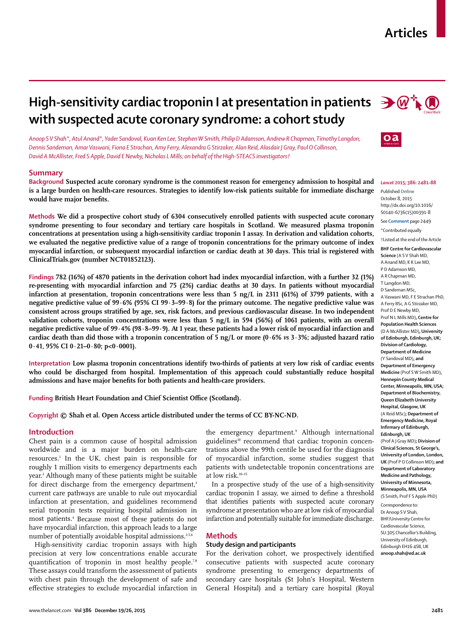# **Articles**

# **High-sensitivity cardiac troponin I at presentation in patients**  $\mathbf{P} \mathbf{W}^+$ **with suspected acute coronary syndrome: a cohort study**

*Anoop S V Shah\*, Atul Anand\*, Yader Sandoval, Kuan Ken Lee, Stephen W Smith, Philip D Adamson, Andrew R Chapman, Timothy Langdon, Dennis Sandeman, Amar Vaswani, Fiona E Strachan, Amy Ferry, Alexandra G Stirzaker, Alan Reid, Alasdair J Gray, Paul O Collinson, David A McAllister, Fred S Apple, David E Newby, Nicholas L Mills; on behalf of the High-STEACS investigators†*

## **Summary**

**Background Suspected acute coronary syndrome is the commonest reason for emergency admission to hospital and is a large burden on health-care resources. Strategies to identify low-risk patients suitable for immediate discharge**  would have major benefits.

**Methods We did a prospective cohort study of 6304 consecutively enrolled patients with suspected acute coronary syndrome presenting to four secondary and tertiary care hospitals in Scotland. We measured plasma troponin concentrations at presentation using a high-sensitivity cardiac troponin I assay. In derivation and validation cohorts, we evaluated the negative predictive value of a range of troponin concentrations for the primary outcome of index myocardial infarction, or subsequent myocardial infarction or cardiac death at 30 days. This trial is registered with ClinicalTrials.gov (number NCT01852123).**

**Findings 782 (16%) of 4870 patients in the derivation cohort had index myocardial infarction, with a further 32 (1%) re-presenting with myocardial infarction and 75 (2%) cardiac deaths at 30 days. In patients without myocardial infarction at presentation, troponin concentrations were less than 5 ng/L in 2311 (61%) of 3799 patients, with a negative predictive value of 99·6% (95% CI 99·3–99·8) for the primary outcome. The negative predictive value was**  consistent across groups stratified by age, sex, risk factors, and previous cardiovascular disease. In two independent **validation cohorts, troponin concentrations were less than 5 ng/L in 594 (56%) of 1061 patients, with an overall negative predictive value of 99·4% (98·8–99·9). At 1 year, these patients had a lower risk of myocardial infarction and cardiac death than did those with a troponin concentration of 5 ng/L or more (0·6%** *vs* **3·3%; adjusted hazard ratio 0·41, 95% CI 0·21–0·80; p<0·0001).**

**Interpretation Low plasma troponin concentrations identify two-thirds of patients at very low risk of cardiac events who could be discharged from hospital. Implementation of this approach could substantially reduce hospital**  admissions and have major benefits for both patients and health-care providers.

Funding British Heart Foundation and Chief Scientist Office (Scotland).

**Copyright © Shah et al. Open Access article distributed under the terms of CC BY-NC-ND.**

### **Introduction**

Chest pain is a common cause of hospital admission worldwide and is a major burden on health-care resources.1 In the UK, chest pain is responsible for roughly 1 million visits to emergency departments each year.2 Although many of these patients might be suitable for direct discharge from the emergency department,<sup>3</sup> current care pathways are unable to rule out myocardial infarction at presentation, and guidelines recommend serial troponin tests requiring hospital admission in most patients.4 Because most of these patients do not have myocardial infarction, this approach leads to a large number of potentially avoidable hospital admissions.<sup>2,5,6</sup>

High-sensitivity cardiac troponin assays with high precision at very low concentrations enable accurate quantification of troponin in most healthy people.<sup>7,8</sup> These assays could transform the assessment of patients with chest pain through the development of safe and effective strategies to exclude myocardial infarction in

the emergency department.9 Although international guidelines<sup>10</sup> recommend that cardiac troponin concentrations above the 99th centile be used for the diagnosis of myocardial infarction, some studies suggest that patients with undetectable troponin concentrations are at low risk.10–15

In a prospective study of the use of a high-sensitivity cardiac troponin I assay, we aimed to define a threshold that identifies patients with suspected acute coronary syndrome at presentation who are at low risk of myocardial infarction and potentially suitable for immediate discharge.

## **Methods**

## **Study design and participants**

For the derivation cohort, we prospectively identified consecutive patients with suspected acute coronary syndrome presenting to emergency departments of secondary care hospitals (St John's Hospital, Western General Hospital) and a tertiary care hospital (Royal





#### *Lancet* **2015; 386: 2481–88**

Published **Online** October 8, 2015 http://dx.doi.org/10.1016/ S0140-6736(15)00391-8

See **Comment** page 2449 \*Contributed equally

†Listed at the end of the Article

**BHF Centre for Cardiovascular Science** (A S V Shah MD, A Anand MD, K K Lee MD, P D Adamson MD, A R Chapman MD, T Langdon MD, D Sandeman MSc, A Vaswani MD, F E Strachan PhD, A Ferry BSc, A G Stirzaker MD, Prof D E Newby MD, Prof N L Mills MD)**, Centre for Population Health Sciences**  (D A McAllister MD)**, University of Edinburgh, Edinburgh, UK; Division of Cardiology, Department of Medicine**  (Y Sandoval MD)**, and Department of Emergency Medicine** (Prof S W Smith MD)**, Hennepin County Medical Center, Minneapolis, MN, USA; Department of Biochemistry, Queen Elizabeth University Hospital, Glasgow, UK**  (A Reid MSc)**; Department of Emergency Medicine, Royal Infirmary of Edinburgh, Edinburgh, UK**  (Prof A J Gray MD)**; Division of Clinical Sciences, St George's, University of London, London, UK** (Prof P O Collinson MD)**; and Department of Laboratory Medicine and Pathology, University of Minnesota, Minneapolis, MN, USA**  (S Smith, Prof F S Apple PhD)

Correspondence to: Dr Anoop S V Shah, BHF/University Centre for Cardiovascular Science, SU.305 Chancellor's Building, University of Edinburgh, Edinburgh EH16 4SB, UK **anoop.shah@ed.ac.uk**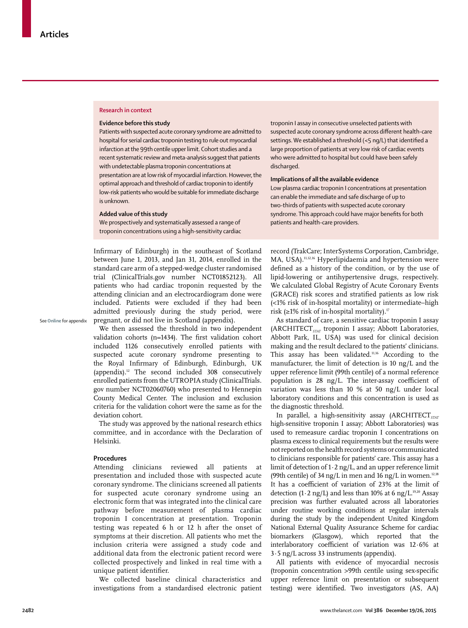#### **Research in context**

#### **Evidence before this study**

Patients with suspected acute coronary syndrome are admitted to hospital for serial cardiac troponin testing to rule out myocardial infarction at the 99th centile upper limit. Cohort studies and a recent systematic review and meta-analysis suggest that patients with undetectable plasma troponin concentrations at presentation are at low risk of myocardial infarction. However, the optimal approach and threshold of cardiac troponin to identify low-risk patients who would be suitable for immediate discharge is unknown.

# **Added value of this study**

We prospectively and systematically assessed a range of troponin concentrations using a high-sensitivity cardiac

Infirmary of Edinburgh) in the southeast of Scotland between June 1, 2013, and Jan 31, 2014, enrolled in the standard care arm of a stepped-wedge cluster randomised trial (ClinicalTrials.gov number NCT01852123). All patients who had cardiac troponin requested by the attending clinician and an electrocardiogram done were included. Patients were excluded if they had been admitted previously during the study period, were pregnant, or did not live in Scotland (appendix).

See **Online** for appendix

We then assessed the threshold in two independent validation cohorts (n=1434). The first validation cohort included 1126 consecutively enrolled patients with suspected acute coronary syndrome presenting to the Royal Infirmary of Edinburgh, Edinburgh, UK (appendix). $12$  The second included 308 consecutively enrolled patients from the UTROPIA study (ClinicalTrials. gov number NCT02060760) who presented to Hennepin County Medical Center. The inclusion and exclusion criteria for the validation cohort were the same as for the deviation cohort.

The study was approved by the national research ethics committee, and in accordance with the Declaration of Helsinki.

## **Procedures**

Attending clinicians reviewed all patients at presentation and included those with suspected acute coronary syndrome. The clinicians screened all patients for suspected acute coronary syndrome using an electronic form that was integrated into the clinical care pathway before measurement of plasma cardiac troponin I concentration at presentation. Troponin testing was repeated 6 h or 12 h after the onset of symptoms at their discretion. All patients who met the inclusion criteria were assigned a study code and additional data from the electronic patient record were collected prospectively and linked in real time with a unique patient identifier.

We collected baseline clinical characteristics and investigations from a standardised electronic patient

troponin I assay in consecutive unselected patients with suspected acute coronary syndrome across different health-care settings. We established a threshold  $(<5$  ng/L) that identified a large proportion of patients at very low risk of cardiac events who were admitted to hospital but could have been safely discharged.

#### **Implications of all the available evidence**

Low plasma cardiac troponin I concentrations at presentation can enable the immediate and safe discharge of up to two-thirds of patients with suspected acute coronary syndrome. This approach could have major benefits for both patients and health-care providers.

record (TrakCare; InterSystems Corporation, Cambridge, MA, USA).<sup>11,12,16</sup> Hyperlipidaemia and hypertension were defined as a history of the condition, or by the use of lipid-lowering or antihypertensive drugs, respectively. We calculated Global Registry of Acute Coronary Events (GRACE) risk scores and stratified patients as low risk (<1% risk of in-hospital mortality) or intermediate–high risk (≥1% risk of in-hospital mortality).<sup>17</sup>

As standard of care, a sensitive cardiac troponin I assay (ARCHITECT<sub>STAT</sub> troponin I assay; Abbott Laboratories, Abbott Park, IL, USA) was used for clinical decision making and the result declared to the patients' clinicians. This assay has been validated.11,16 According to the manufacturer, the limit of detection is 10 ng/L and the upper reference limit (99th centile) of a normal reference population is  $28 \text{ ng/L}$ . The inter-assay coefficient of variation was less than 10 % at 50 ng/L under local laboratory conditions and this concentration is used as the diagnostic threshold.

In parallel, a high-sensitivity assay (ARCHITECT<sub>STAT</sub> high-sensitive troponin I assay; Abbott Laboratories) was used to remeasure cardiac troponin I concentrations on plasma excess to clinical requirements but the results were not reported on the health record systems or communicated to clinicians responsible for patients' care. This assay has a limit of detection of  $1 \cdot 2$  ng/L, and an upper reference limit (99th centile) of 34 ng/L in men and 16 ng/L in women.<sup>12,18</sup> It has a coefficient of variation of 23% at the limit of detection (1 $\cdot$ 2 ng/L) and less than 10% at 6 ng/L.<sup>19,20</sup> Assay precision was further evaluated across all laboratories under routine working conditions at regular intervals during the study by the independent United Kingdom National External Quality Assurance Scheme for cardiac biomarkers (Glasgow), which reported that the interlaboratory coefficient of variation was  $12.6\%$  at 3·5 ng/L across 33 instruments (appendix).

All patients with evidence of myocardial necrosis (troponin concentration >99th centile using sex-specific upper reference limit on presentation or subsequent testing) were identified. Two investigators (AS, AA)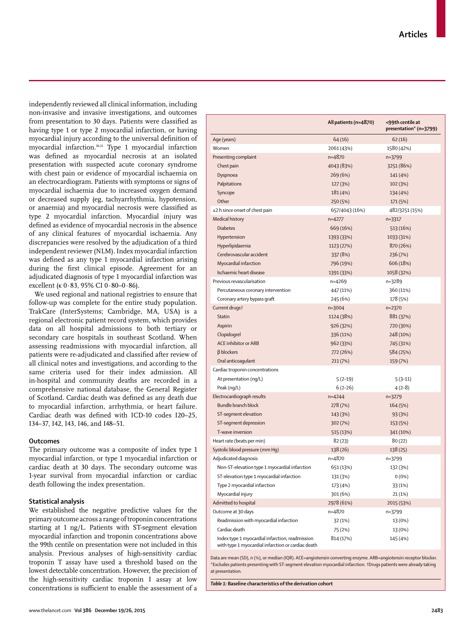independently reviewed all clinical information, including non-invasive and invasive investigations, and outcomes from presentation to 30 days. Patients were classified as having type 1 or type 2 myocardial infarction, or having myocardial injury according to the universal definition of myocardial infarction.<sup>10,21</sup> Type 1 myocardial infarction was defined as myocardial necrosis at an isolated presentation with suspected acute coronary syndrome with chest pain or evidence of myocardial ischaemia on an electrocardiogram. Patients with symptoms or signs of myocardial ischaemia due to increased oxygen demand or decreased supply (eg, tachyarrhythmia, hypotension, or anaemia) and myocardial necrosis were classified as type 2 myocardial infarction. Myocardial injury was defined as evidence of myocardial necrosis in the absence of any clinical features of myocardial ischaemia. Any discrepancies were resolved by the adjudication of a third independent reviewer (NLM). Index myocardial infarction was defined as any type 1 myocardial infarction arising during the first clinical episode. Agreement for an adjudicated diagnosis of type 1 myocardial infarction was excellent (κ 0·83, 95% CI 0·80–0·86).

We used regional and national registries to ensure that follow-up was complete for the entire study population. TrakCare (InterSystems; Cambridge, MA, USA) is a regional electronic patient record system, which provides data on all hospital admissions to both tertiary or secondary care hospitals in southeast Scotland. When assessing readmissions with myocardial infarction, all patients were re-adjudicated and classified after review of all clinical notes and investigations, and according to the same criteria used for their index admission. All in-hospital and community deaths are recorded in a comprehensive national database, the General Register of Scotland. Cardiac death was defined as any death due to myocardial infarction, arrhythmia, or heart failure. Cardiac death was defined with ICD-10 codes I20–25, I34–37, I42, I43, I46, and I48–51.

## **Outcomes**

The primary outcome was a composite of index type 1 myocardial infarction, or type 1 myocardial infarction or cardiac death at 30 days. The secondary outcome was 1-year survival from myocardial infarction or cardiac death following the index presentation.

# **Statistical analysis**

We established the negative predictive values for the primary outcome across a range of troponin concentrations starting at 1 ng/L. Patients with ST-segment elevation myocardial infarction and troponin concentrations above the 99th centile on presentation were not included in this analysis. Previous analyses of high-sensitivity cardiac troponin T assay have used a threshold based on the lowest detectable concentration. However, the precision of the high-sensitivity cardiac troponin I assay at low concentrations is sufficient to enable the assessment of a

|                                                                                                       | All patients (n=4870) | <99th centile at<br>presentation* (n=3799) |
|-------------------------------------------------------------------------------------------------------|-----------------------|--------------------------------------------|
| Age (years)                                                                                           | 64(16)                | 62(16)                                     |
| Women                                                                                                 | 2061 (43%)            | 1580 (42%)                                 |
| Presenting complaint                                                                                  | $n = 4870$            | n=3799                                     |
| Chest pain                                                                                            | 4043 (83%)            | 3251 (86%)                                 |
| Dyspnoea                                                                                              | 269 (6%)              | 141 (4%)                                   |
| Palpitations                                                                                          | 127 (3%)              | 102 (3%)                                   |
| Syncope                                                                                               | 181 (4%)              | 134 (4%)                                   |
| Other                                                                                                 | 250 (5%)              | 171 (5%)                                   |
| ≤2 h since onset of chest pain                                                                        | 657/4043 (16%)        | 482/3251 (15%)                             |
| Medical history                                                                                       | $n=4277$              | n=3317                                     |
| <b>Diabetes</b>                                                                                       | 669 (16%)             | 513 (16%)                                  |
| Hypertension                                                                                          | 1393 (33%)            | 1033 (31%)                                 |
| Hyperlipidaemia                                                                                       | 1123 (27%)            | 870 (26%)                                  |
| Cerebrovascular accident                                                                              | 337 (8%)              | 236 (7%)                                   |
| Myocardial infarction                                                                                 | 796 (19%)             | 606 (18%)                                  |
| Ischaemic heart disease                                                                               | 1391 (33%)            | 1058 (32%)                                 |
| Previous revascularisation                                                                            | $n=4269$              | n=3289                                     |
| Percutaneous coronary intervention                                                                    | 447 (11%)             | 360 (11%)                                  |
| Coronary artery bypass graft                                                                          | 245 (6%)              | 178 (5%)                                   |
| Current drugs <sup>+</sup>                                                                            | n=3004                | $n=2370$                                   |
| Statin                                                                                                | 1124 (38%)            | 881 (37%)                                  |
| Aspirin                                                                                               | 926 (32%)             | 720 (30%)                                  |
| Clopidogrel                                                                                           | 336 (11%)             | 248 (10%)                                  |
| <b>ACE inhibitor or ARB</b>                                                                           | 962 (33%)             | 745 (31%)                                  |
| $\beta$ blockers                                                                                      | 772 (26%)             | 584 (25%)                                  |
| Oral anticoagulant                                                                                    | 211 (7%)              | 159 (7%)                                   |
| Cardiac troponin concentrations                                                                       |                       |                                            |
| At presentation (ng/L)                                                                                | $5(2-19)$             | $5(3-11)$                                  |
| Peak (ng/L)                                                                                           | $6(2-26)$             | $4(2-8)$                                   |
| Electrocardiograph results                                                                            | $n = 4244$            | $n=3279$                                   |
| Bundle branch block                                                                                   | 278 (7%)              | 164 (5%)                                   |
| ST-segment elevation                                                                                  | 143 (3%)              |                                            |
| ST-segment depression                                                                                 | 302 (7%)              | 93 (3%)                                    |
| T-wave inversion                                                                                      |                       | 153 (5%)                                   |
| Heart rate (beats per min)                                                                            | 515 (13%)<br>82(23)   | 341 (10%)<br>80(22)                        |
|                                                                                                       |                       |                                            |
| Systolic blood pressure (mm Hq)                                                                       | 138 (26)<br>n=4870    | 138 (25)                                   |
| Adjudicated diagnosis<br>Non-ST-elevation type 1 myocardial infarction                                |                       | n=3799<br>132 (3%)                         |
|                                                                                                       | 651 (13%)             |                                            |
| ST-elevation type 1 myocardial infarction<br>Type 2 myocardial infarction                             | 131 (3%)              | $0(0\%)$                                   |
|                                                                                                       | 173 (4%)              | 33 (1%)                                    |
| Myocardial injury                                                                                     | 301 (6%)              | 21 (1%)                                    |
| Admitted to hospital                                                                                  | 2978 (61%)            | 2015 (53%)                                 |
| Outcome at 30 days                                                                                    | n=4870                | n=3799                                     |
| Readmission with myocardial infarction                                                                | 32 (1%)               | 13 (0%)                                    |
| Cardiac death                                                                                         | 75 (2%)               | 13 (0%)                                    |
| Index type 1 myocardial infarction, readmission<br>with type 1 myocardial infarction or cardiac death | 814 (17%)             | 145 (4%)                                   |

Data are mean (SD), n (%), or median (IQR). ACE=angiotensin converting enzyme. ARB=angiotensin receptor blocker. \*Excludes patients presenting with ST-segment elevation myocardial infarction. †Drugs patients were already taking at presentation.

*Table 1:* **Baseline characteristics of the derivation cohort**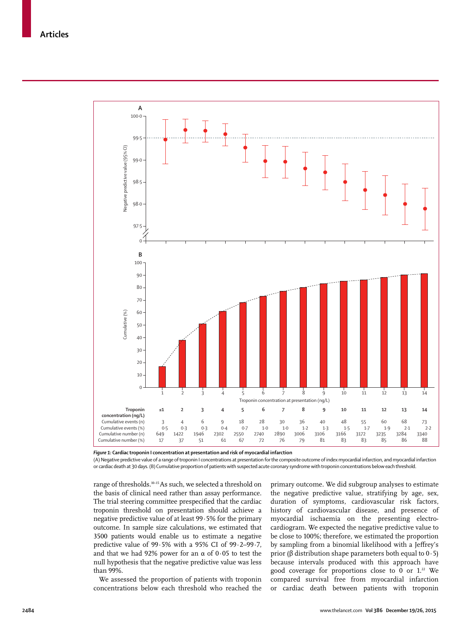

*Figure 1:* **Cardiac troponin I concentration at presentation and risk of myocardial infarction**

(A) Negative predictive value of a range of troponin I concentrations at presentation for the composite outcome of index myocardial infarction, and myocardial infarction or cardiac death at 30 days. (B) Cumulative proportion of patients with suspected acute coronary syndrome with troponin concentrations below each threshold.

range of thresholds.10–15 As such, we selected a threshold on the basis of clinical need rather than assay performance. The trial steering committee prespecified that the cardiac troponin threshold on presentation should achieve a negative predictive value of at least 99·5% for the primary outcome. In sample size calculations, we estimated that 3500 patients would enable us to estimate a negative predictive value of 99·5% with a 95% CI of 99·2–99·7, and that we had 92% power for an  $\alpha$  of 0.05 to test the null hypothesis that the negative predictive value was less than 99%.

We assessed the proportion of patients with troponin concentrations below each threshold who reached the primary outcome. We did subgroup analyses to estimate the negative predictive value, stratifying by age, sex, duration of symptoms, cardiovascular risk factors, history of cardiovascular disease, and presence of myocardial ischaemia on the presenting electrocardiogram. We expected the negative predictive value to be close to 100%; therefore, we estimated the proportion by sampling from a binomial likelihood with a Jeffrey's prior (β distribution shape parameters both equal to  $0.5$ ) because intervals produced with this approach have good coverage for proportions close to 0 or  $1.^2$  We compared survival free from myocardial infarction or cardiac death between patients with troponin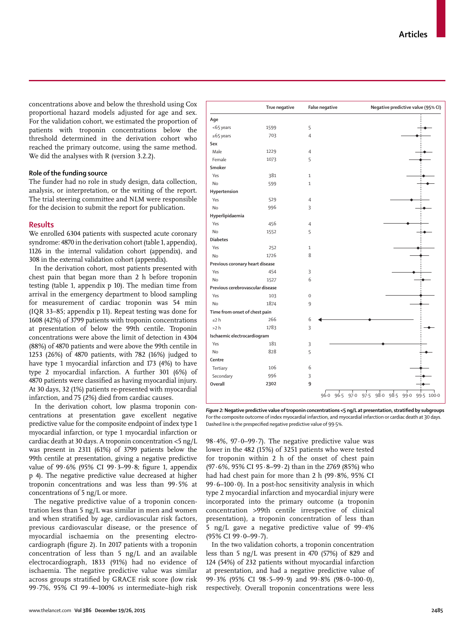concentrations above and below the threshold using Cox proportional hazard models adjusted for age and sex. For the validation cohort, we estimated the proportion of patients with troponin concentrations below the threshold determined in the derivation cohort who reached the primary outcome, using the same method. We did the analyses with R (version 3.2.2).

## **Role of the funding source**

The funder had no role in study design, data collection, analysis, or interpretation, or the writing of the report. The trial steering committee and NLM were responsible for the decision to submit the report for publication.

# **Results**

We enrolled 6304 patients with suspected acute coronary syndrome: 4870 in the derivation cohort (table 1, appendix), 1126 in the internal validation cohort (appendix), and 308 in the external validation cohort (appendix).

In the derivation cohort, most patients presented with chest pain that began more than 2 h before troponin testing (table 1, appendix p 10). The median time from arrival in the emergency department to blood sampling for measurement of cardiac troponin was 54 min (IQR 33–85; appendix p 11). Repeat testing was done for 1608 (42%) of 3799 patients with troponin concentrations at presentation of below the 99th centile. Troponin concentrations were above the limit of detection in 4304 (88%) of 4870 patients and were above the 99th centile in 1253 (26%) of 4870 patients, with 782 (16%) judged to have type 1 myocardial infarction and 173 (4%) to have type 2 myocardial infarction. A further 301 (6%) of 4870 patients were classified as having myocardial injury. At 30 days, 32 (1%) patients re-presented with myocardial infarction, and 75 (2%) died from cardiac causes.

In the derivation cohort, low plasma troponin concentrations at presentation gave excellent negative predictive value for the composite endpoint of index type 1 myocardial infarction, or type 1 myocardial infarction or cardiac death at 30 days. A troponin concentration <5 ng/L was present in 2311 (61%) of 3799 patients below the 99th centile at presentation, giving a negative predictive value of  $99.6\%$  ( $95\%$  CI  $99.3-99.8$ ; figure 1, appendix p 4). The negative predictive value decreased at higher troponin concentrations and was less than 99·5% at concentrations of 5 ng/L or more.

The negative predictive value of a troponin concentration less than 5 ng/L was similar in men and women and when stratified by age, cardiovascular risk factors, previous cardiovascular disease, or the presence of myocardial ischaemia on the presenting electrocardiograph (figure 2). In 2017 patients with a troponin concentration of less than 5 ng/L and an available electrocardiograph, 1833 (91%) had no evidence of ischaemia. The negative predictive value was similar across groups stratified by GRACE risk score (low risk 99·7%, 95% CI 99·4–100% *vs* intermediate–high risk

|                                  | True negative | <b>False negative</b> | Negative predictive value (95% CI) |
|----------------------------------|---------------|-----------------------|------------------------------------|
| Age                              |               |                       |                                    |
| <65 years                        | 1599          | 5                     |                                    |
| $\ge 65$ years                   | 703           | $\overline{4}$        |                                    |
| Sex                              |               |                       |                                    |
| Male                             | 1229          | $\overline{4}$        |                                    |
| Female                           | 1073          | 5                     |                                    |
| Smoker                           |               |                       |                                    |
| Yes                              | 381           | $\mathbf{1}$          |                                    |
| <b>No</b>                        | 599           | $\mathbf{1}$          |                                    |
| Hypertension                     |               |                       |                                    |
| Yes                              | 529           | $\overline{4}$        |                                    |
| No                               | 996           | 3                     |                                    |
| Hyperlipidaemia                  |               |                       |                                    |
| Yes                              | 456           | $\overline{4}$        |                                    |
| <b>No</b>                        | 1552          | 5                     |                                    |
| <b>Diabetes</b>                  |               |                       |                                    |
| Yes                              | 252           | $\mathbf{1}$          |                                    |
| <b>No</b>                        | 1726          | 8                     |                                    |
| Previous coronary heart disease  |               |                       |                                    |
| Yes                              | 454           | 3                     |                                    |
| No                               | 1527          | 6                     |                                    |
| Previous cerebrovascular disease |               |                       |                                    |
| Yes                              | 103           | $\mathbf 0$           |                                    |
| <b>No</b>                        | 1874          | 9                     |                                    |
| Time from onset of chest pain    |               |                       |                                    |
| $\leq$ 2 h                       | 266           | 6                     |                                    |
| >2 h                             | 1783          | 3                     |                                    |
| Ischaemic electrocardiogram      |               |                       |                                    |
| Yes                              | 181           | 3                     |                                    |
| <b>No</b>                        | 828           | 5                     |                                    |
| Centre                           |               |                       |                                    |
| Tertiary                         | 106           | 6                     |                                    |
| Secondary                        | 996           | 3                     |                                    |
| Overall                          | 2302          | 9                     |                                    |

Figure 2: Negative predictive value of troponin concentrations <5 ng/L at presentation, stratified by subgroups For the composite outcome of index myocardial infarction, and myocardial infarction or cardiac death at 30 days. Dashed line is the prespecified negative predictive value of 99.5%.

98·4%, 97·0–99·7). The negative predictive value was lower in the 482 (15%) of 3251 patients who were tested for troponin within 2 h of the onset of chest pain (97·6%, 95% CI 95·8–99·2) than in the 2769 (85%) who had had chest pain for more than 2 h (99·8%, 95% CI 99 $\cdot$ 6–100 $\cdot$ 0). In a post-hoc sensitivity analysis in which type 2 myocardial infarction and myocardial injury were incorporated into the primary outcome (a troponin concentration >99th centile irrespective of clinical presentation), a troponin concentration of less than 5 ng/L gave a negative predictive value of 99·4% (95% CI 99·0–99·7).

In the two validation cohorts, a troponin concentration less than 5 ng/L was present in 470 (57%) of 829 and 124 (54%) of 232 patients without myocardial infarction at presentation, and had a negative predictive value of 99·3% (95% CI 98·5–99·9) and 99·8% (98·0–100·0), respectively. Overall troponin concentrations were less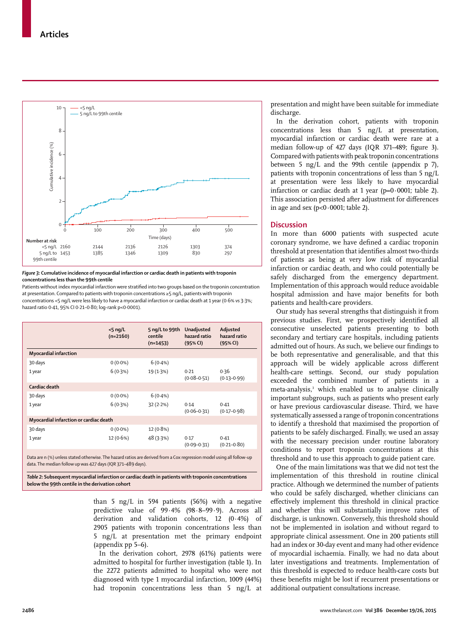

#### *Figure 3:* **Cumulative incidence of myocardial infarction or cardiac death in patients with troponin concentrations less than the 99th centile**

Patients without index myocardial infarction were stratified into two groups based on the troponin concentration at presentation. Compared to patients with troponin concentrations ≥5 ng/L, patients with troponin concentrations <5 ng/L were less likely to have a myocardial infarction or cardiac death at 1 year (0·6% *vs* 3·3%; hazard ratio 0·41, 95% CI 0·21–0·80; log-rank p<0·0001).

| Adjusted<br>hazard ratio<br>(95% CI) |
|--------------------------------------|
|                                      |
|                                      |
| 0.36<br>$(0.13 - 0.99)$              |
|                                      |
|                                      |
| $(0.17 - 0.98)$                      |
|                                      |
|                                      |
| $(0.21 - 0.80)$                      |
|                                      |

Data are n (%) unless stated otherwise. The hazard ratios are derived from a Cox regression model using all follow-up data. The median follow up was 427 days (IQR 371–489 days).

*Table 2:* **Subsequent myocardial infarction or cardiac death in patients with troponin concentrations below the 99th centile in the derivation cohort**

> than 5 ng/L in 594 patients (56%) with a negative predictive value of 99·4% (98·8–99·9). Across all derivation and validation cohorts, 12 (0·4%) of 2905 patients with troponin concentrations less than 5 ng/L at presentation met the primary endpoint (appendix pp 5–6).

> In the derivation cohort, 2978 (61%) patients were admitted to hospital for further investigation (table 1). In the 2272 patients admitted to hospital who were not diagnosed with type 1 myocardial infarction, 1009 (44%) had troponin concentrations less than 5 ng/L at

presentation and might have been suitable for immediate discharge.

In the derivation cohort, patients with troponin concentrations less than 5 ng/L at presentation, myocardial infarction or cardiac death were rare at a median follow-up of 427 days (IQR 371-489; figure 3). Compared with patients with peak troponin concentrations between 5 ng/L and the 99th centile (appendix  $p$  7), patients with troponin concentrations of less than 5 ng/L at presentation were less likely to have myocardial infarction or cardiac death at 1 year ( $p=0.0001$ ; table 2). This association persisted after adjustment for differences in age and sex ( $p<0.0001$ ; table 2).

# **Discussion**

In more than 6000 patients with suspected acute coronary syndrome, we have defined a cardiac troponin threshold at presentation that identifies almost two-thirds of patients as being at very low risk of myocardial infarction or cardiac death, and who could potentially be safely discharged from the emergency department. Implementation of this approach would reduce avoidable hospital admission and have major benefits for both patients and health-care providers.

Our study has several strengths that distinguish it from previous studies. First, we prospectively identified all consecutive unselected patients presenting to both secondary and tertiary care hospitals, including patients admitted out of hours. As such, we believe our findings to be both representative and generalisable, and that this approach will be widely applicable across different health-care settings. Second, our study population exceeded the combined number of patients in a meta-analysis,<sup>3</sup> which enabled us to analyse clinically important subgroups, such as patients who present early or have previous cardiovascular disease. Third, we have systematically assessed a range of troponin concentrations to identify a threshold that maximised the proportion of patients to be safely discharged. Finally, we used an assay with the necessary precision under routine laboratory conditions to report troponin concentrations at this threshold and to use this approach to guide patient care.

One of the main limitations was that we did not test the implementation of this threshold in routine clinical practice. Although we determined the number of patients who could be safely discharged, whether clinicians can effectively implement this threshold in clinical practice and whether this will substantially improve rates of discharge, is unknown. Conversely, this threshold should not be implemented in isolation and without regard to appropriate clinical assessment. One in 200 patients still had an index or 30-day event and many had other evidence of myocardial ischaemia. Finally, we had no data about later investigations and treatments. Implementation of this threshold is expected to reduce health-care costs but these benefits might be lost if recurrent presentations or additional outpatient consultations increase.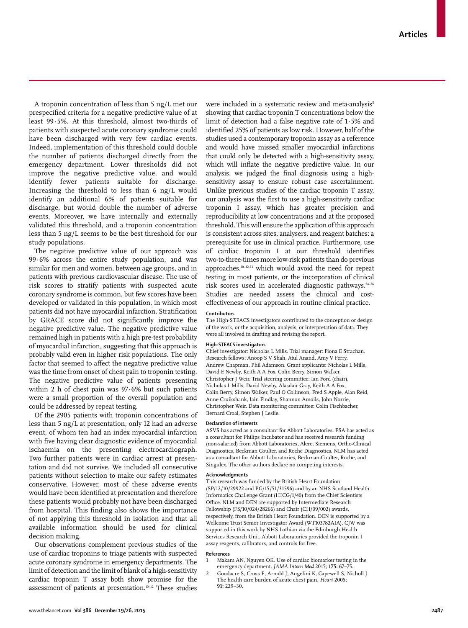A troponin concentration of less than 5 ng/L met our prespecified criteria for a negative predictive value of at least 99·5%. At this threshold, almost two-thirds of patients with suspected acute coronary syndrome could have been discharged with very few cardiac events. Indeed, implementation of this threshold could double the number of patients discharged directly from the emergency department. Lower thresholds did not improve the negative predictive value, and would identify fewer patients suitable for discharge. Increasing the threshold to less than 6 ng/L would identify an additional 6% of patients suitable for discharge, but would double the number of adverse events. Moreover, we have internally and externally validated this threshold, and a troponin concentration less than 5 ng/L seems to be the best threshold for our study populations.

The negative predictive value of our approach was 99·6% across the entire study population, and was similar for men and women, between age groups, and in patients with previous cardiovascular disease. The use of risk scores to stratify patients with suspected acute coronary syndrome is common, but few scores have been developed or validated in this population, in which most patients did not have myocardial infarction. Stratification by GRACE score did not significantly improve the negative predictive value. The negative predictive value remained high in patients with a high pre-test probability of myocardial infarction, suggesting that this approach is probably valid even in higher risk populations. The only factor that seemed to affect the negative predictive value was the time from onset of chest pain to troponin testing. The negative predictive value of patients presenting within 2 h of chest pain was 97·6% but such patients were a small proportion of the overall population and could be addressed by repeat testing.

Of the 2905 patients with troponin concentrations of less than 5 ng/L at presentation, only 12 had an adverse event, of whom ten had an index myocardial infarction with five having clear diagnostic evidence of myocardial ischaemia on the presenting electrocardiograph. Two further patients were in cardiac arrest at presentation and did not survive. We included all consecutive patients without selection to make our safety estimates conservative. However, most of these adverse events would have been identified at presentation and therefore these patients would probably not have been discharged from hospital. This finding also shows the importance of not applying this threshold in isolation and that all available information should be used for clinical decision making.

Our observations complement previous studies of the use of cardiac troponins to triage patients with suspected acute coronary syndrome in emergency departments. The limit of detection and the limit of blank of a high-sensitivity cardiac troponin T assay both show promise for the assessment of patients at presentation.10–12 These studies were included in a systematic review and meta-analysis<sup>5</sup> showing that cardiac troponin T concentrations below the limit of detection had a false negative rate of 1·5% and identified 25% of patients as low risk. However, half of the studies used a contemporary troponin assay as a reference and would have missed smaller myocardial infarctions that could only be detected with a high-sensitivity assay, which will inflate the negative predictive value. In our analysis, we judged the final diagnosis using a highsensitivity assay to ensure robust case ascertainment. Unlike previous studies of the cardiac troponin T assay, our analysis was the first to use a high-sensitivity cardiac troponin I assay, which has greater precision and reproducibility at low concentrations and at the proposed threshold. This will ensure the application of this approach is consistent across sites, analysers, and reagent batches: a prerequisite for use in clinical practice. Furthermore, use of cardiac troponin I at our threshold identifies two-to-three-times more low-risk patients than do previous approaches,10–12,23 which would avoid the need for repeat testing in most patients, or the incorporation of clinical risk scores used in accelerated diagnostic pathways.<sup>24-26</sup> Studies are needed assess the clinical and costeffectiveness of our approach in routine clinical practice.

# **Contributors**

The High-STEACS investigators contributed to the conception or design of the work, or the acquisition, analysis, or interpretation of data. They were all involved in drafting and revising the report.

#### **High-STEACS investigators**

Chief investigator: Nicholas L Mills. Trial manager: Fiona E Strachan. Research fellows: Anoop S V Shah, Atul Anand, Amy V Ferry, Andrew Chapman, Phil Adamson. Grant applicants: Nicholas L Mills, David E Newby, Keith A A Fox, Colin Berry, Simon Walker, Christopher J Weir. Trial steering committee: Ian Ford (chair), Nicholas L Mills, David Newby, Alasdair Gray, Keith A A Fox, Colin Berry, Simon Walker, Paul O Collinson, Fred S Apple, Alan Reid, Anne Cruikshank, Iain Findlay, Shannon Amoils, John Norrie, Christopher Weir. Data monitoring committee: Colin Fischbacher, Bernard Croal, Stephen J Leslie.

#### **Declaration of interests**

ASVS has acted as a consultant for Abbott Laboratories. FSA has acted as a consultant for Philips Incubator and has received research funding (non-salaried) from Abbott Laboratories, Alere, Siemens, Ortho-Clinical Diagnostics, Beckman Coulter, and Roche Diagnostics. NLM has acted as a consultant for Abbott Laboratories, Beckman-Coulter, Roche, and Singulex. The other authors declare no competing interests.

#### **Acknowledgments**

This research was funded by the British Heart Foundation (SP/12/10/29922 and PG/15/51/31596) and by an NHS Scotland Health Informatics Challenge Grant (HICG/1/40) from the Chief Scientists Office. NLM and DEN are supported by Intermediate Research Fellowship (FS/10/024/28266) and Chair (CH/09/002) awards, respectively, from the British Heart Foundation. DEN is supported by a Wellcome Trust Senior Investigator Award (WT103782AIA). CJW was supported in this work by NHS Lothian via the Edinburgh Health Services Research Unit. Abbott Laboratories provided the troponin I assay reagents, calibrators, and controls for free.

#### **References**

- Makam AN, Nguyen OK. Use of cardiac biomarker testing in the emergency department. *JAMA Intern Med* 2015; **175:** 67–75.
- 2 Goodacre S, Cross E, Arnold J, Angelini K, Capewell S, Nicholl J. The health care burden of acute chest pain. *Heart* 2005; **91:** 229–30.